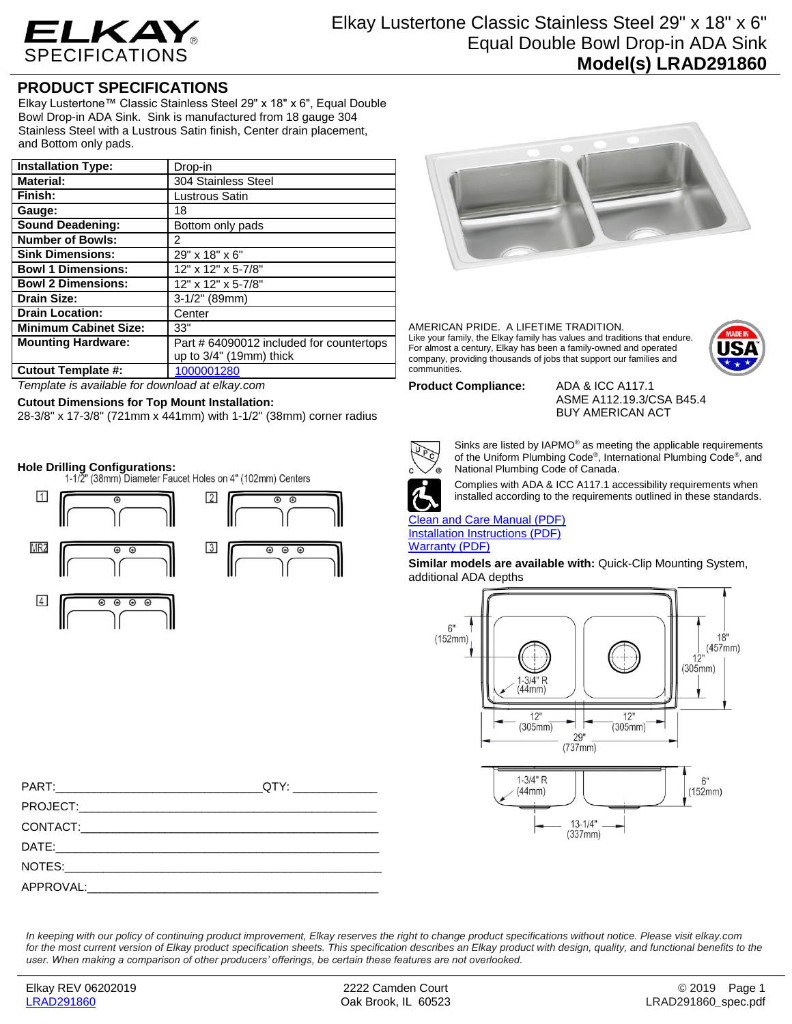

## **PRODUCT SPECIFICATIONS**

Elkay Lustertone™ Classic Stainless Steel 29" x 18" x 6", Equal Double Bowl Drop-in ADA Sink. Sink is manufactured from 18 gauge 304 Stainless Steel with a Lustrous Satin finish, Center drain placement, and Bottom only pads.

| <b>Installation Type:</b>    | Drop-in                                  |
|------------------------------|------------------------------------------|
| <b>Material:</b>             | 304 Stainless Steel                      |
| Finish:                      | Lustrous Satin                           |
| Gauge:                       | 18                                       |
| <b>Sound Deadening:</b>      | Bottom only pads                         |
| <b>Number of Bowls:</b>      | 2                                        |
| <b>Sink Dimensions:</b>      | 29" x 18" x 6"                           |
| <b>Bowl 1 Dimensions:</b>    | 12" x 12" x 5-7/8"                       |
| <b>Bowl 2 Dimensions:</b>    | 12" x 12" x 5-7/8"                       |
| <b>Drain Size:</b>           | 3-1/2" (89mm)                            |
| <b>Drain Location:</b>       | Center                                   |
| <b>Minimum Cabinet Size:</b> | 33"                                      |
| <b>Mounting Hardware:</b>    | Part # 64090012 included for countertops |
|                              | up to $3/4$ " (19mm) thick               |
| <b>Cutout Template #:</b>    | 1000001280                               |

*Template is available for download at elkay.com*

## **Cutout Dimensions for Top Mount Installation:**

28-3/8" x 17-3/8" (721mm x 441mm) with 1-1/2" (38mm) corner radius

**Hole Drilling Configurations:**



| QTY:________________ |
|----------------------|
|                      |
|                      |
|                      |
|                      |
|                      |



AMERICAN PRIDE. A LIFETIME TRADITION. Like your family, the Elkay family has values and traditions that endure. For almost a century, Elkay has been a family-owned and operated company, providing thousands of jobs that support our families and communities.



**Product Compliance:** ADA & ICC A117.1

ASME A112.19.3/CSA B45.4 BUY AMERICAN ACT



Sinks are listed by IAPMO® as meeting the applicable requirements of the Uniform Plumbing Code® , International Plumbing Code® , and National Plumbing Code of Canada.



Complies with ADA & ICC A117.1 accessibility requirements when installed according to the requirements outlined in these standards.

[Clean and Care Manual \(PDF\)](http://www.elkay.com/wcsstore/lkdocs/care-cleaning-install-warranty-sheets/residential%20and%20commercial%20care%20%20cleaning.pdf) [Installation Instructions \(PDF\)](http://www.elkay.com/wcsstore/lkdocs/care-cleaning-install-warranty-sheets/74180147.pdf) [Warranty](http://www.elkay.com/wcsstore/lkdocs/care-cleaning-install-warranty-sheets/1000005130.pdf) (PDF)

**Similar models are available with:** Quick-Clip Mounting System, additional ADA depths



*In keeping with our policy of continuing product improvement, Elkay reserves the right to change product specifications without notice. Please visit elkay.com for the most current version of Elkay product specification sheets. This specification describes an Elkay product with design, quality, and functional benefits to the user. When making a comparison of other producers' offerings, be certain these features are not overlooked.*